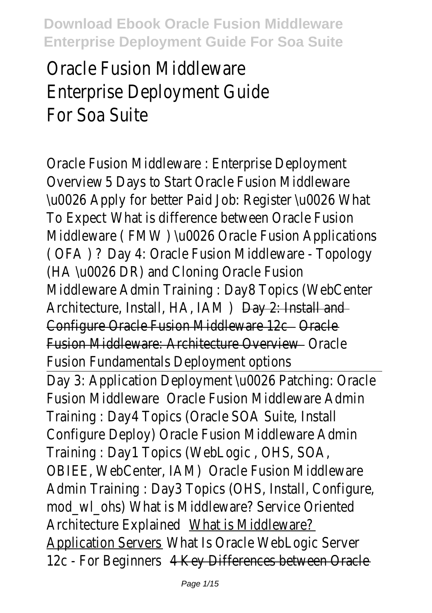# Oracle Fusion Middleware Enterprise Deployment Guide For Soa Suite

Oracle Fusion Middleware : Enterprise Deployment Overview 5 Days to Start Oracle Fusion Middlewar \u0026 Apply for better Paid Job: Register \u0026 What To Expect What is difference between Oracle Fusion Middleware (FMW) \u0026 Oracle Fusion Application ( OFA ) ? Day 4: Oracle Fusion Middleware - Topology (HA \u0026 DR) and Cloning Oracle Fusion Middleware Admin Training : Day8 Topics (WebCenter Architecture, Install, HA, IAM ) Day 2: Install and Configure Oracle Fusion Middleware 12c - Oracle Fusion Middleware: Architecture Overview **Communist Contains** Fusion Fundamentals Deployment options Day 3: Application Deployment \u0026 Patching: Oracl Fusion Middleware Oracle Fusion Middleware Admin Training : Day4 Topics (Oracle SOA Suite, Install Configure Deploy) Oracle Fusion Middleware Admin Training : Day1 Topics (WebLogic, OHS, SO/ OBIEE, WebCenter, IAM) Oracle Fusion Middleware Admin Training : Day3 Topics (OHS, Install, Configure, mod wl ohs) What is Middleware? Service Oriented Architecture Explained What is Middleware? Application Servers \_\_ What Is Oracle WebLogic Server 12c - For Beginners 4 Key Differences between Oracle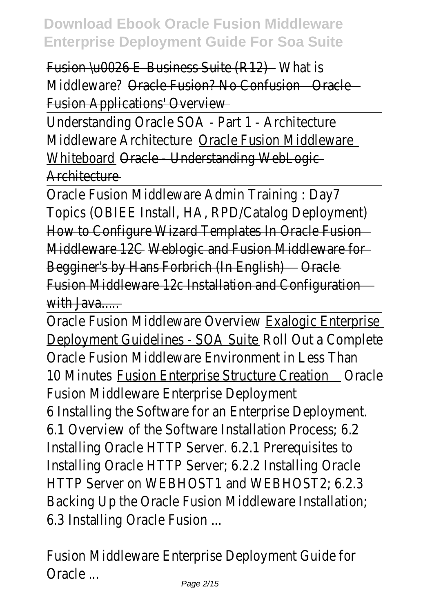Fusion \u0026 E-Business Suite (R12) What is Middleware? Oracle Fusion? No Confusion - Oracle Fusion Applications' Overview Understanding Oracle SOA - Part 1 - Architectur Middleware Architecture Oracle Fusion Middleware Whiteboard Oracle - Understanding WebLogic Architecture — Oracle Fusion Middleware Admin Training : Day7 Topics (OBIEE Install, HA, RPD/Catalog Deployment) How to Configure Wizard Templates In Oracle Fusion Middleware 12C Weblogic and Fusion Middleware for Begginer's by Hans Forbrich (In English) Oracle Fusion Middleware 12c Installation and Configuration with  $Jawa$ Oracle Fusion Middleware Overview Exalogic Enterprise Deployment Guidelines - SOA Suite Roll Out a Complete Oracle Fusion Middleware Environment in Less Than 10 Minutes Fusion Enterprise Structure Creation Oracle Fusion Middleware Enterprise Deployment 6 Installing the Software for an Enterprise Deploymen 6.1 Overview of the Software Installation Process: 6 Installing Oracle HTTP Server. 6.2.1 Prerequisites to Installing Oracle HTTP Server; 6.2.2 Installing Oracle HTTP Server on WEBHOST1 and WEBHOST2: 6.2 Backing Up the Oracle Fusion Middleware Installation; 6.3 Installing Oracle Fusion ...

Fusion Middleware Enterprise Deployment Guide for Oracle ...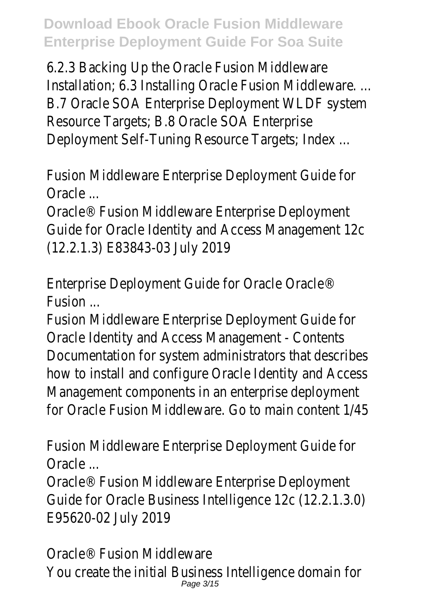6.2.3 Backing Up the Oracle Fusion Middlewar Installation; 6.3 Installing Oracle Fusion Middleware... B.7 Oracle SOA Enterprise Deployment WLDF system Resource Targets; B.8 Oracle SOA Enterprise Deployment Self-Tuning Resource Targets; Index ...

Fusion Middleware Enterprise Deployment Guide for Oracle ...

Oracle<sup>®</sup> Fusion Middleware Enterprise Deployment Guide for Oracle Identity and Access Management 12 (12.2.1.3) E83843-03 July 2019

Enterprise Deployment Guide for Oracle Oracle® **Fusion** 

Fusion Middleware Enterprise Deployment Guide for Oracle Identity and Access Management - Content Documentation for system administrators that describe how to install and configure Oracle Identity and Acces Management components in an enterprise deployment for Oracle Fusion Middleware. Go to main content 1/45

Fusion Middleware Enterprise Deployment Guide for Oracle ...

Oracle® Fusion Middleware Enterprise Deployment Guide for Oracle Business Intelligence 12c (12.2.1.3.0) E95620-02 July 2019

Oracle® Fusion Middleware You create the initial Business Intelligence domain for Page 3/15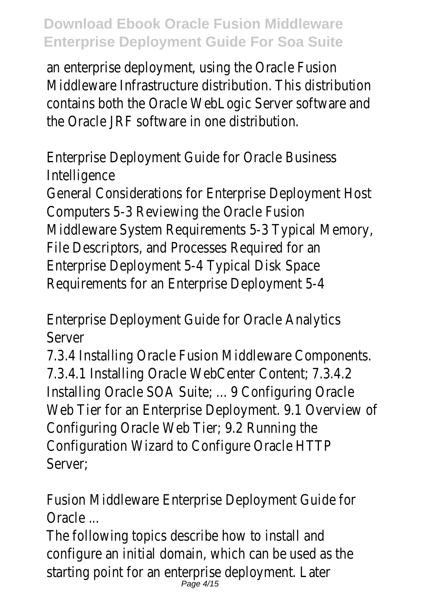an enterprise deployment, using the Oracle Fusion Middleware Infrastructure distribution. This distribution contains both the Oracle WebLogic Server software an the Oracle JRF software in one distribution.

Enterprise Deployment Guide for Oracle Business Intelligence

General Considerations for Enterprise Deployment Host Computers 5-3 Reviewing the Oracle Fusion Middleware System Requirements 5-3 Typical Memory, File Descriptors, and Processes Required for an Enterprise Deployment 5-4 Typical Disk Space Requirements for an Enterprise Deployment 5-4

Enterprise Deployment Guide for Oracle Analytics Server

7.3.4 Installing Oracle Fusion Middleware Components. 7.3.4.1 Installing Oracle WebCenter Content; 7.3.4.2 Installing Oracle SOA Suite; ... 9 Configuring Oracle Web Tier for an Enterprise Deployment. 9.1 Overview of Configuring Oracle Web Tier; 9.2 Running the Configuration Wizard to Configure Oracle HTT Server;

Fusion Middleware Enterprise Deployment Guide for Oracle ...

The following topics describe how to install and configure an initial domain, which can be used as the starting point for an enterprise deployment. Late Page 4/15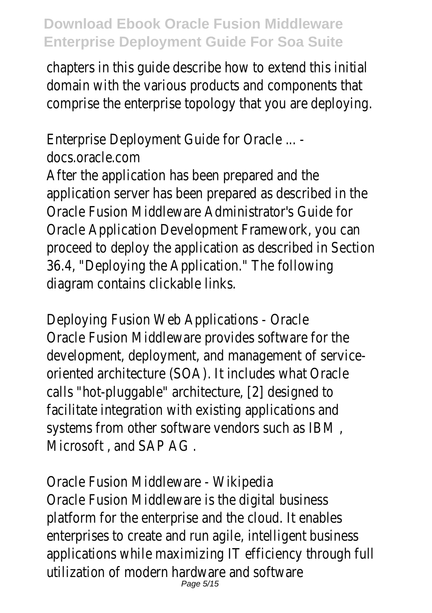chapters in this quide describe how to extend this initial domain with the various products and components that comprise the enterprise topology that you are deploying.

Enterprise Deployment Guide for Oracle ... docs.oracle.com After the application has been prepared and the application server has been prepared as described in the Oracle Fusion Middleware Administrator's Guide for Oracle Application Development Framework, you can proceed to deploy the application as described in Section 36.4, "Deploying the Application." The following diagram contains clickable links.

Deploying Fusion Web Applications - Oracle Oracle Fusion Middleware provides software for the development, deployment, and management of serviceoriented architecture (SOA). It includes what Oracle calls "hot-pluggable" architecture, [2] designed to facilitate integration with existing applications and systems from other software vendors such as IBM Microsoft, and SAP AG.

Oracle Fusion Middleware - Wikipedia Oracle Fusion Middleware is the digital business platform for the enterprise and the cloud. It enable enterprises to create and run agile, intelligent business applications while maximizing IT efficiency through full utilization of modern hardware and software Page 5/15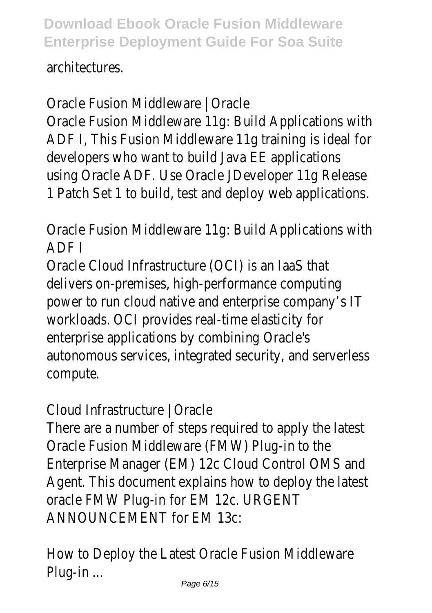architectures.

Oracle Fusion Middleware | Oracle Oracle Fusion Middleware 11g: Build Applications with ADF I, This Fusion Middleware 11g training is ideal for developers who want to build Java EE application using Oracle ADF. Use Oracle JDeveloper 11g Release 1 Patch Set 1 to build, test and deploy web application

Oracle Fusion Middleware 11g: Build Applications with ADF I

Oracle Cloud Infrastructure (OCI) is an IaaS that delivers on-premises, high-performance computing power to run cloud native and enterprise company's I workloads. OCI provides real-time elasticity for enterprise applications by combining Oracle's autonomous services, integrated security, and serverless compute.

Cloud Infrastructure | Oracle

There are a number of steps required to apply the latest Oracle Fusion Middleware (FMW) Plug-in to th Enterprise Manager (EM) 12c Cloud Control OMS ar Agent. This document explains how to deploy the lates oracle FMW Plug-in for EM 12c. URGEN ANNOUNCEMENT for EM 13c:

How to Deploy the Latest Oracle Fusion Middlewar Plug-in ...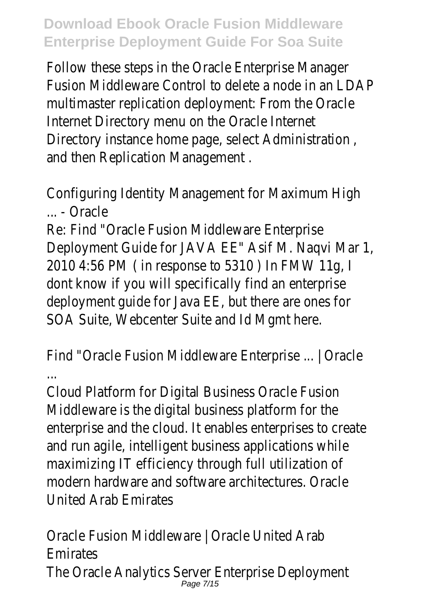Follow these steps in the Oracle Enterprise Manager Fusion Middleware Control to delete a node in an LDAP multimaster replication deployment: From the Oracle Internet Directory menu on the Oracle Interne Directory instance home page, select Administration , and then Replication Management .

Configuring Identity Management for Maximum High ... - Oracle

Re: Find "Oracle Fusion Middleware Enterprise Deployment Guide for JAVA EE" Asif M. Naqvi Mar 2010 4:56 PM ( in response to 5310 ) In FMW 11d dont know if you will specifically find an enterprise deployment quide for Java EE, but there are ones for SOA Suite, Webcenter Suite and Id Mgmt here

Find "Oracle Fusion Middleware Enterprise ... | Oracl

...

Cloud Platform for Digital Business Oracle Fusion Middleware is the digital business platform for the enterprise and the cloud. It enables enterprises to creat and run agile, intelligent business applications while maximizing IT efficiency through full utilization of modern hardware and software architectures. Oracle United Arab Emirates

Oracle Fusion Middleware | Oracle United Arab Emirates The Oracle Analytics Server Enterprise Deploymen Page 7/15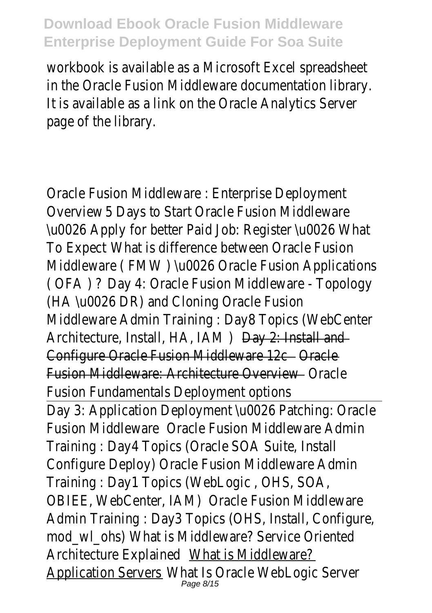workbook is available as a Microsoft Excel spreadsheet in the Oracle Fusion Middleware documentation library. It is available as a link on the Oracle Analytics Server page of the library.

Oracle Fusion Middleware : Enterprise Deployment Overview 5 Days to Start Oracle Fusion Middlewar \u0026 Apply for better Paid Job: Register \u0026 What To Expect What is difference between Oracle Fusion Middleware (FMW) \u0026 Oracle Fusion Application ( OFA ) ? Day 4: Oracle Fusion Middleware - Topology (HA \u0026 DR) and Cloning Oracle Fusion Middleware Admin Training : Day8 Topics (WebCenter Architecture, Install, HA, IAM ) Day 2: Install and Configure Oracle Fusion Middleware 12c - Oracle Fusion Middleware: Architecture Overview **Constant** Oracle Fusion Fundamentals Deployment options Day 3: Application Deployment \u0026 Patching: Oracle Fusion Middleware Oracle Fusion Middleware Admin Training : Day4 Topics (Oracle SOA Suite, Install Configure Deploy) Oracle Fusion Middleware Admin Training : Day1 Topics (WebLogic , OHS, SOA, OBIEE, WebCenter, IAM) Oracle Fusion Middleware Admin Training : Day3 Topics (OHS, Install, Configure, mod wl\_ohs) What is Middleware? Service Oriented Architecture Explained What is Middleware? <u>Application Servers</u> Mhat Is Oracle WebLogic Serve<br><sup>Page 8/15</sup>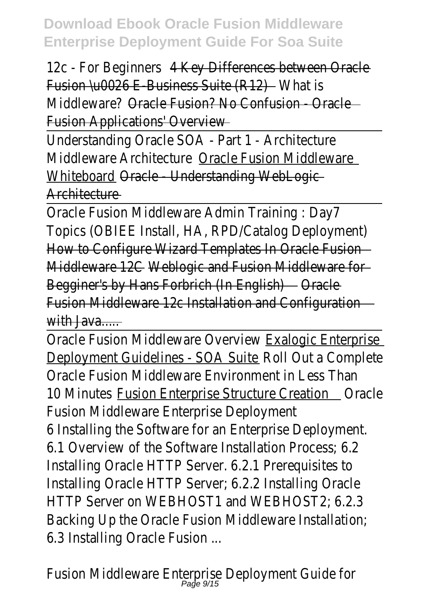12c - For Beginners 4 Key Differences between Oracle Fusion \u0026 E-Business Suite (R12) - What is

Middleware? Oracle Fusion? No Confusion - Oracle Fusion Applications' Overview

Understanding Oracle SOA - Part 1 - Architecture Middleware Architecture Oracle Fusion Middleware Whiteboard Oracle - Understanding WebLogic Architecture

Oracle Fusion Middleware Admin Training : Day7 Topics (OBIEE Install, HA, RPD/Catalog Deployment) How to Configure Wizard Templates In Oracle Fusion Middleware 12C Weblogic and Fusion Middleware for Begginer's by Hans Forbrich (In English) Oracle Fusion Middleware 12c Installation and Configuration with Java....

Oracle Fusion Middleware Overview Exalogic Enterprise Deployment Guidelines - SOA Suite Roll Out a Complete Oracle Fusion Middleware Environment in Less Than 10 Minutes Fusion Enterprise Structure Creation Oracle Fusion Middleware Enterprise Deployment 6 Installing the Software for an Enterprise Deploymen 6.1 Overview of the Software Installation Process: 6 Installing Oracle HTTP Server. 6.2.1 Prerequisites to Installing Oracle HTTP Server; 6.2.2 Installing Oracle HTTP Server on WEBHOST1 and WEBHOST2: 6.2 Backing Up the Oracle Fusion Middleware Installation; 6.3 Installing Oracle Fusion ...

Fusion Middleware Enterprise Deployment Guide fo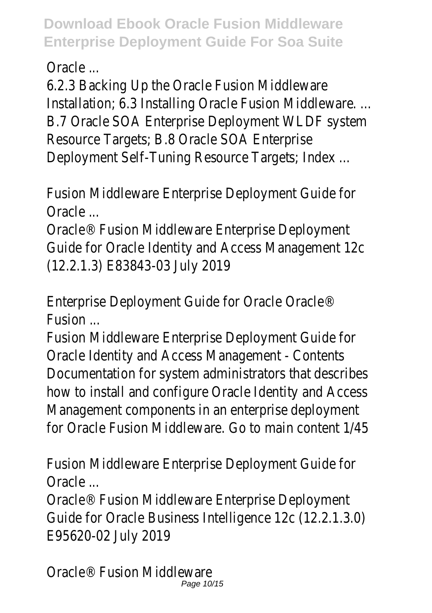Oracle ...

6.2.3 Backing Up the Oracle Fusion Middleware Installation; 6.3 Installing Oracle Fusion Middleware... B.7 Oracle SOA Enterprise Deployment WLDF system Resource Targets; B.8 Oracle SOA Enterprise Deployment Self-Tuning Resource Targets; Index .

Fusion Middleware Enterprise Deployment Guide for Oracle ...

Oracle® Fusion Middleware Enterprise Deployment Guide for Oracle Identity and Access Management 12 (12.2.1.3) E83843-03 July 2019

Enterprise Deployment Guide for Oracle Oracle® **Fusion** 

Fusion Middleware Enterprise Deployment Guide for Oracle Identity and Access Management - Contents Documentation for system administrators that describe how to install and configure Oracle Identity and Acces Management components in an enterprise deployment for Oracle Fusion Middleware. Go to main content 1/45

Fusion Middleware Enterprise Deployment Guide for Oracle ...

Oracle® Fusion Middleware Enterprise Deployment Guide for Oracle Business Intelligence 12c (12.2.1.3.0) E95620-02 July 2019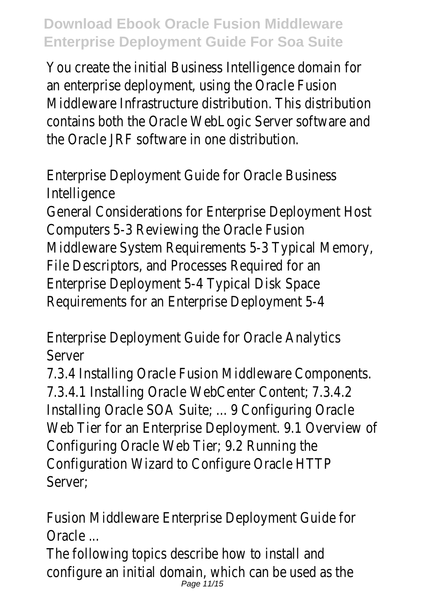You create the initial Business Intelligence domain for an enterprise deployment, using the Oracle Fusion Middleware Infrastructure distribution. This distribution contains both the Oracle WebLogic Server software an the Oracle JRF software in one distribution.

Enterprise Deployment Guide for Oracle Business Intelligence

General Considerations for Enterprise Deployment Host Computers 5-3 Reviewing the Oracle Fusion Middleware System Requirements 5-3 Typical Memory, File Descriptors, and Processes Required for an Enterprise Deployment 5-4 Typical Disk Space Requirements for an Enterprise Deployment 5-4

Enterprise Deployment Guide for Oracle Analytics Server

7.3.4 Installing Oracle Fusion Middleware Components. 7.3.4.1 Installing Oracle WebCenter Content; 7.3.4.2 Installing Oracle SOA Suite; ... 9 Configuring Oracle Web Tier for an Enterprise Deployment. 9.1 Overview of Configuring Oracle Web Tier; 9.2 Running the Configuration Wizard to Configure Oracle HTT Server;

Fusion Middleware Enterprise Deployment Guide for Oracle ...

The following topics describe how to install and configure an initial domain, which can be used as the Page 11/15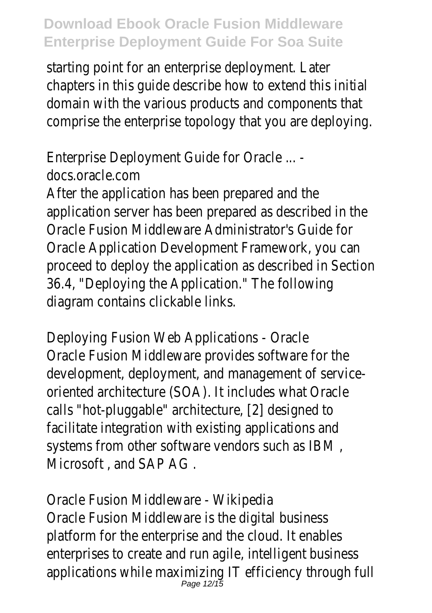starting point for an enterprise deployment. Late chapters in this quide describe how to extend this initial domain with the various products and components that comprise the enterprise topology that you are deploying.

Enterprise Deployment Guide for Oracle ... docs.oracle.com After the application has been prepared and the application server has been prepared as described in the Oracle Fusion Middleware Administrator's Guide for Oracle Application Development Framework, you can proceed to deploy the application as described in Section 36.4, "Deploying the Application." The following diagram contains clickable links.

Deploying Fusion Web Applications - Oracle Oracle Fusion Middleware provides software for the development, deployment, and management of serviceoriented architecture (SOA). It includes what Oracle calls "hot-pluggable" architecture, [2] designed to facilitate integration with existing applications and systems from other software vendors such as IBM Microsoft , and SAP AG .

Oracle Fusion Middleware - Wikipedia Oracle Fusion Middleware is the digital business platform for the enterprise and the cloud. It enable enterprises to create and run agile, intelligent business applications while maximizing IT efficiency through fu<br>Page 12/15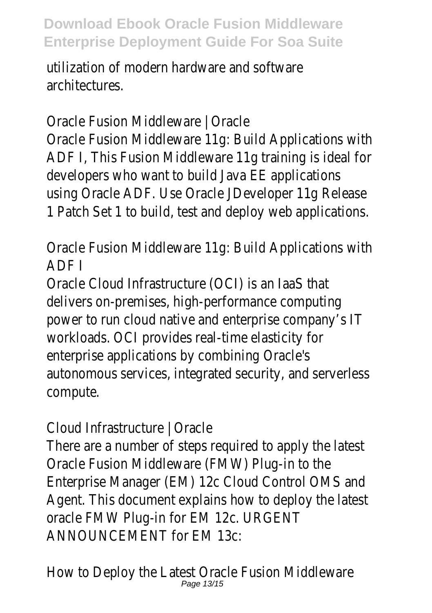utilization of modern hardware and software architectures.

Oracle Fusion Middleware | Oracle Oracle Fusion Middleware 11g: Build Applications with ADF I, This Fusion Middleware 11g training is ideal for developers who want to build Java EE application using Oracle ADF. Use Oracle JDeveloper 11g Release 1 Patch Set 1 to build, test and deploy web application

Oracle Fusion Middleware 11g: Build Applications with ADF I

Oracle Cloud Infrastructure (OCI) is an IaaS that delivers on-premises, high-performance computing power to run cloud native and enterprise company's I workloads. OCI provides real-time elasticity for enterprise applications by combining Oracle's autonomous services, integrated security, and serverless compute.

Cloud Infrastructure | Oracle

There are a number of steps required to apply the lates Oracle Fusion Middleware (FMW) Plug-in to the Enterprise Manager (EM) 12c Cloud Control OMS an Agent. This document explains how to deploy the lates oracle FMW Plug-in for EM 12c. URGEN ANNOUNCEMENT for EM 13c:

How to Deploy the Latest Oracle Fusion Middlewar Page 13/15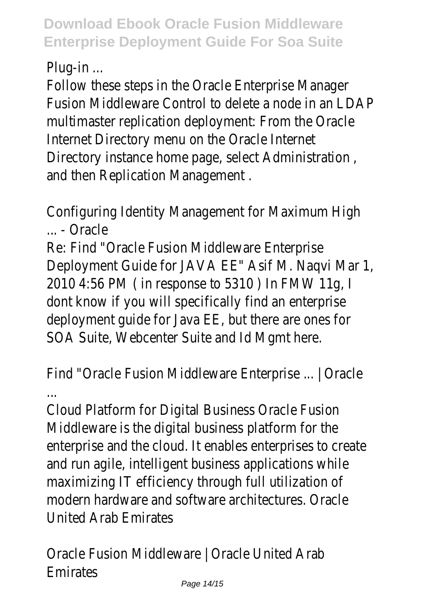Plug-in ...

Follow these steps in the Oracle Enterprise Manager Fusion Middleware Control to delete a node in an LDA multimaster replication deployment: From the Oracle Internet Directory menu on the Oracle Interne Directory instance home page, select Administration , and then Replication Management .

Configuring Identity Management for Maximum High ... - Oracle

Re: Find "Oracle Fusion Middleware Enterprise Deployment Guide for JAVA EE" Asif M. Naqvi Mar 2010 4:56 PM ( in response to 5310 ) In FMW 11d dont know if you will specifically find an enterprise deployment quide for Java EE, but there are ones for SOA Suite, Webcenter Suite and Id Mgmt here

Find "Oracle Fusion Middleware Enterprise ... | Oracle ...

Cloud Platform for Digital Business Oracle Fusion Middleware is the digital business platform for the enterprise and the cloud. It enables enterprises to creat and run agile, intelligent business applications while maximizing IT efficiency through full utilization of modern hardware and software architectures. Oracle United Arab Emirates

Oracle Fusion Middleware | Oracle United Arab **Emirates**